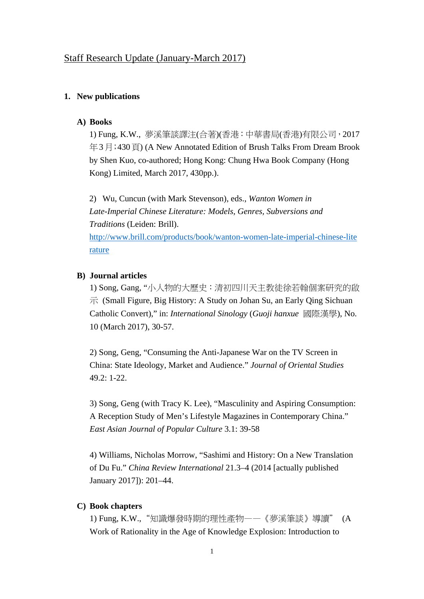# **1. New publications**

### **A) Books**

1) Fung, K.W., 夢溪筆談譯注(合著)(香港:中華書局(香港)有限公司,2017 年3月;430頁) (A New Annotated Edition of Brush Talks From Dream Brook by Shen Kuo, co-authored; Hong Kong: Chung Hwa Book Company (Hong Kong) Limited, March 2017, 430pp.).

2) Wu, Cuncun (with Mark Stevenson), eds., *Wanton Women in Late-Imperial Chinese Literature: Models, Genres, Subversions and Traditions* (Leiden: Brill). http://www.brill.com/products/book/wanton-women-late-imperial-chinese-lite

rature

### **B) Journal articles**

1) Song, Gang, "小人物的大歷史:清初四川天主教徒徐若翰個案研究的啟  $\overrightarrow{\pi}$  (Small Figure, Big History: A Study on Johan Su, an Early Qing Sichuan Catholic Convert)," in: *International Sinology* (*Guoji hanxue* 國際漢學), No. 10 (March 2017), 30-57.

2) Song, Geng, "Consuming the Anti-Japanese War on the TV Screen in China: State Ideology, Market and Audience." *Journal of Oriental Studies*  49.2: 1-22.

3) Song, Geng (with Tracy K. Lee), "Masculinity and Aspiring Consumption: A Reception Study of Men's Lifestyle Magazines in Contemporary China." *East Asian Journal of Popular Culture* 3.1: 39-58

4) Williams, Nicholas Morrow, "Sashimi and History: On a New Translation of Du Fu." *China Review International* 21.3–4 (2014 [actually published January 2017]): 201–44.

# **C) Book chapters**

1) Fung, K.W.,"知識爆發時期的理性產物——《夢溪筆談》導讀" (A Work of Rationality in the Age of Knowledge Explosion: Introduction to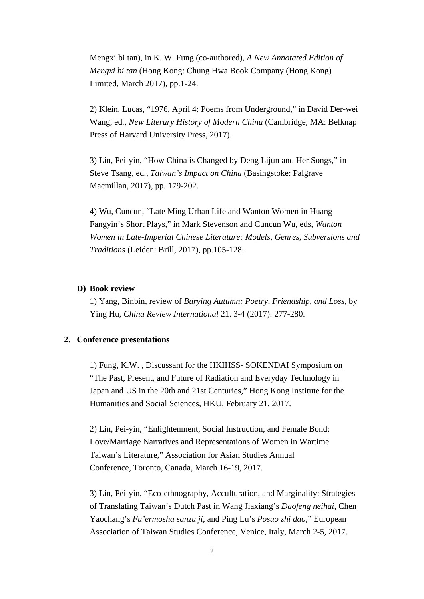Mengxi bi tan), in K. W. Fung (co-authored), *A New Annotated Edition of Mengxi bi tan* (Hong Kong: Chung Hwa Book Company (Hong Kong) Limited, March 2017), pp.1-24.

2) Klein, Lucas, "1976, April 4: Poems from Underground," in David Der-wei Wang, ed*., New Literary History of Modern China* (Cambridge, MA: Belknap Press of Harvard University Press, 2017).

3) Lin, Pei-yin, "How China is Changed by Deng Lijun and Her Songs," in Steve Tsang, ed., *Taiwan's Impact on China* (Basingstoke: Palgrave Macmillan, 2017), pp. 179-202.

4) Wu, Cuncun, "Late Ming Urban Life and Wanton Women in Huang Fangyin's Short Plays," in Mark Stevenson and Cuncun Wu, eds, *Wanton Women in Late-Imperial Chinese Literature: Models, Genres, Subversions and Traditions* (Leiden: Brill, 2017), pp.105-128.

### **D) Book review**

1) Yang, Binbin, review of *Burying Autumn: Poetry, Friendship, and Loss*, by Ying Hu, *China Review International* 21. 3-4 (2017): 277-280.

## **2. Conference presentations**

1) Fung, K.W. , Discussant for the HKIHSS- SOKENDAI Symposium on "The Past, Present, and Future of Radiation and Everyday Technology in Japan and US in the 20th and 21st Centuries," Hong Kong Institute for the Humanities and Social Sciences, HKU, February 21, 2017.

2) Lin, Pei-yin, "Enlightenment, Social Instruction, and Female Bond: Love/Marriage Narratives and Representations of Women in Wartime Taiwan's Literature," Association for Asian Studies Annual Conference, Toronto, Canada, March 16-19, 2017.

3) Lin, Pei-yin, "Eco-ethnography, Acculturation, and Marginality: Strategies of Translating Taiwan's Dutch Past in Wang Jiaxiang's *Daofeng neihai*, Chen Yaochang's *Fu'ermosha sanzu ji*, and Ping Lu's *Posuo zhi dao*," European Association of Taiwan Studies Conference, Venice, Italy, March 2-5, 2017.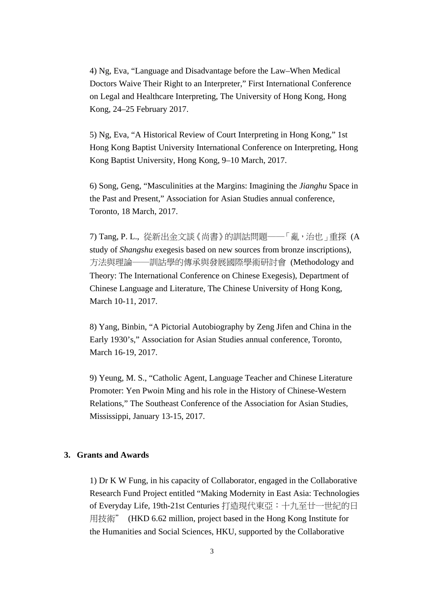4) Ng, Eva, "Language and Disadvantage before the Law–When Medical Doctors Waive Their Right to an Interpreter," First International Conference on Legal and Healthcare Interpreting, The University of Hong Kong, Hong Kong, 24–25 February 2017.

5) Ng, Eva, "A Historical Review of Court Interpreting in Hong Kong," 1st Hong Kong Baptist University International Conference on Interpreting, Hong Kong Baptist University, Hong Kong, 9–10 March, 2017.

6) Song, Geng, "Masculinities at the Margins: Imagining the *Jianghu* Space in the Past and Present," Association for Asian Studies annual conference, Toronto, 18 March, 2017.

7) Tang, P. L., 從新出金文談《尚書》的訓詁問題──「亂,治也」重探 (A study of *Shangshu* exegesis based on new sources from bronze inscriptions), 方法與理論──訓詁學的傳承與發展國際學術研討會 (Methodology and Theory: The International Conference on Chinese Exegesis), Department of Chinese Language and Literature, The Chinese University of Hong Kong, March 10-11, 2017.

8) Yang, Binbin, "A Pictorial Autobiography by Zeng Jifen and China in the Early 1930's," Association for Asian Studies annual conference, Toronto, March 16-19, 2017.

9) Yeung, M. S., "Catholic Agent, Language Teacher and Chinese Literature Promoter: Yen Pwoin Ming and his role in the History of Chinese-Western Relations," The Southeast Conference of the Association for Asian Studies, Mississippi, January 13-15, 2017.

### **3. Grants and Awards**

1) Dr K W Fung, in his capacity of Collaborator, engaged in the Collaborative Research Fund Project entitled "Making Modernity in East Asia: Technologies of Everyday Life, 19th-21st Centuries 打造現代東亞:十九至廿一世紀的日 用技術" (HKD 6.62 million, project based in the Hong Kong Institute for the Humanities and Social Sciences, HKU, supported by the Collaborative